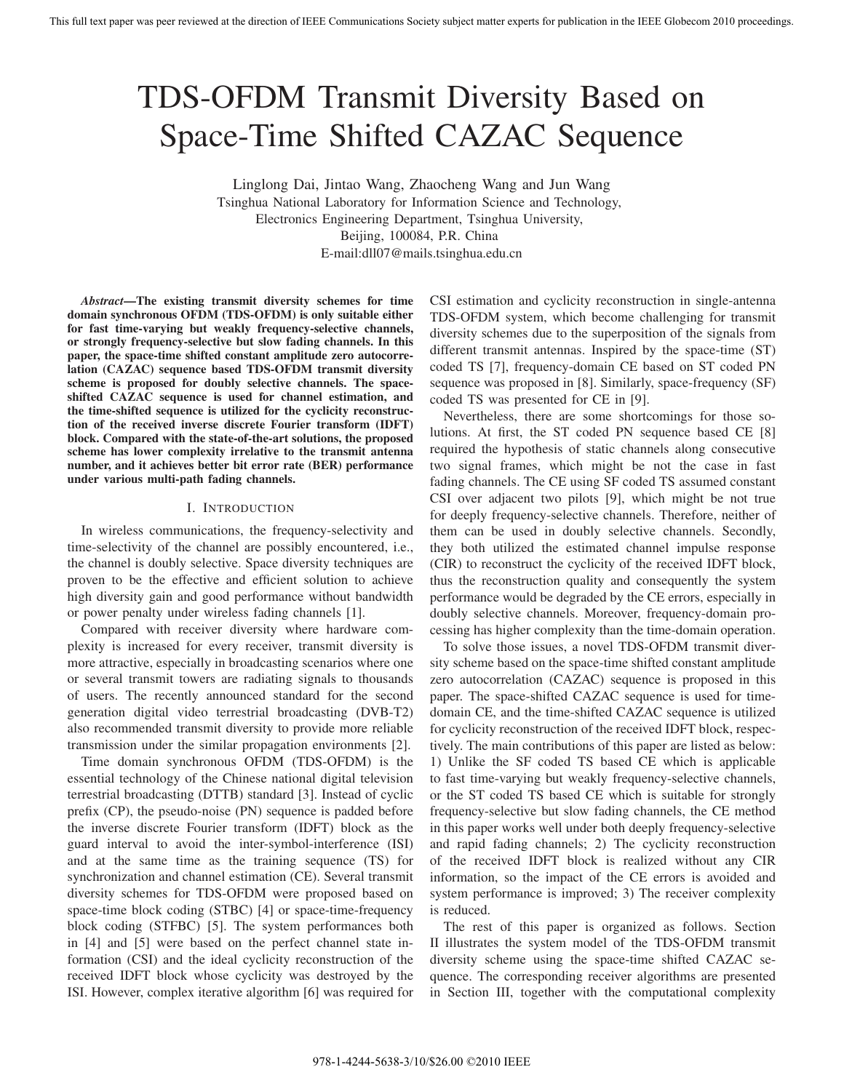# TDS-OFDM Transmit Diversity Based on Space-Time Shifted CAZAC Sequence

Linglong Dai, Jintao Wang, Zhaocheng Wang and Jun Wang Tsinghua National Laboratory for Information Science and Technology, Electronics Engineering Department, Tsinghua University, Beijing, 100084, P.R. China E-mail:dll07@mails.tsinghua.edu.cn

*Abstract***—The existing transmit diversity schemes for time domain synchronous OFDM (TDS-OFDM) is only suitable either for fast time-varying but weakly frequency-selective channels, or strongly frequency-selective but slow fading channels. In this paper, the space-time shifted constant amplitude zero autocorrelation (CAZAC) sequence based TDS-OFDM transmit diversity scheme is proposed for doubly selective channels. The spaceshifted CAZAC sequence is used for channel estimation, and the time-shifted sequence is utilized for the cyclicity reconstruction of the received inverse discrete Fourier transform (IDFT) block. Compared with the state-of-the-art solutions, the proposed scheme has lower complexity irrelative to the transmit antenna number, and it achieves better bit error rate (BER) performance under various multi-path fading channels.**

## I. INTRODUCTION

In wireless communications, the frequency-selectivity and time-selectivity of the channel are possibly encountered, i.e., the channel is doubly selective. Space diversity techniques are proven to be the effective and efficient solution to achieve high diversity gain and good performance without bandwidth or power penalty under wireless fading channels [1].

Compared with receiver diversity where hardware complexity is increased for every receiver, transmit diversity is more attractive, especially in broadcasting scenarios where one or several transmit towers are radiating signals to thousands of users. The recently announced standard for the second generation digital video terrestrial broadcasting (DVB-T2) also recommended transmit diversity to provide more reliable transmission under the similar propagation environments [2].

Time domain synchronous OFDM (TDS-OFDM) is the essential technology of the Chinese national digital television terrestrial broadcasting (DTTB) standard [3]. Instead of cyclic prefix (CP), the pseudo-noise (PN) sequence is padded before the inverse discrete Fourier transform (IDFT) block as the guard interval to avoid the inter-symbol-interference (ISI) and at the same time as the training sequence (TS) for synchronization and channel estimation (CE). Several transmit diversity schemes for TDS-OFDM were proposed based on space-time block coding (STBC) [4] or space-time-frequency block coding (STFBC) [5]. The system performances both in [4] and [5] were based on the perfect channel state information (CSI) and the ideal cyclicity reconstruction of the received IDFT block whose cyclicity was destroyed by the ISI. However, complex iterative algorithm [6] was required for CSI estimation and cyclicity reconstruction in single-antenna TDS-OFDM system, which become challenging for transmit diversity schemes due to the superposition of the signals from different transmit antennas. Inspired by the space-time (ST) coded TS [7], frequency-domain CE based on ST coded PN sequence was proposed in [8]. Similarly, space-frequency (SF) coded TS was presented for CE in [9].

Nevertheless, there are some shortcomings for those solutions. At first, the ST coded PN sequence based CE [8] required the hypothesis of static channels along consecutive two signal frames, which might be not the case in fast fading channels. The CE using SF coded TS assumed constant CSI over adjacent two pilots [9], which might be not true for deeply frequency-selective channels. Therefore, neither of them can be used in doubly selective channels. Secondly, they both utilized the estimated channel impulse response (CIR) to reconstruct the cyclicity of the received IDFT block, thus the reconstruction quality and consequently the system performance would be degraded by the CE errors, especially in doubly selective channels. Moreover, frequency-domain processing has higher complexity than the time-domain operation.

To solve those issues, a novel TDS-OFDM transmit diversity scheme based on the space-time shifted constant amplitude zero autocorrelation (CAZAC) sequence is proposed in this paper. The space-shifted CAZAC sequence is used for timedomain CE, and the time-shifted CAZAC sequence is utilized for cyclicity reconstruction of the received IDFT block, respectively. The main contributions of this paper are listed as below: 1) Unlike the SF coded TS based CE which is applicable to fast time-varying but weakly frequency-selective channels, or the ST coded TS based CE which is suitable for strongly frequency-selective but slow fading channels, the CE method in this paper works well under both deeply frequency-selective and rapid fading channels; 2) The cyclicity reconstruction of the received IDFT block is realized without any CIR information, so the impact of the CE errors is avoided and system performance is improved; 3) The receiver complexity is reduced.

The rest of this paper is organized as follows. Section II illustrates the system model of the TDS-OFDM transmit diversity scheme using the space-time shifted CAZAC sequence. The corresponding receiver algorithms are presented in Section III, together with the computational complexity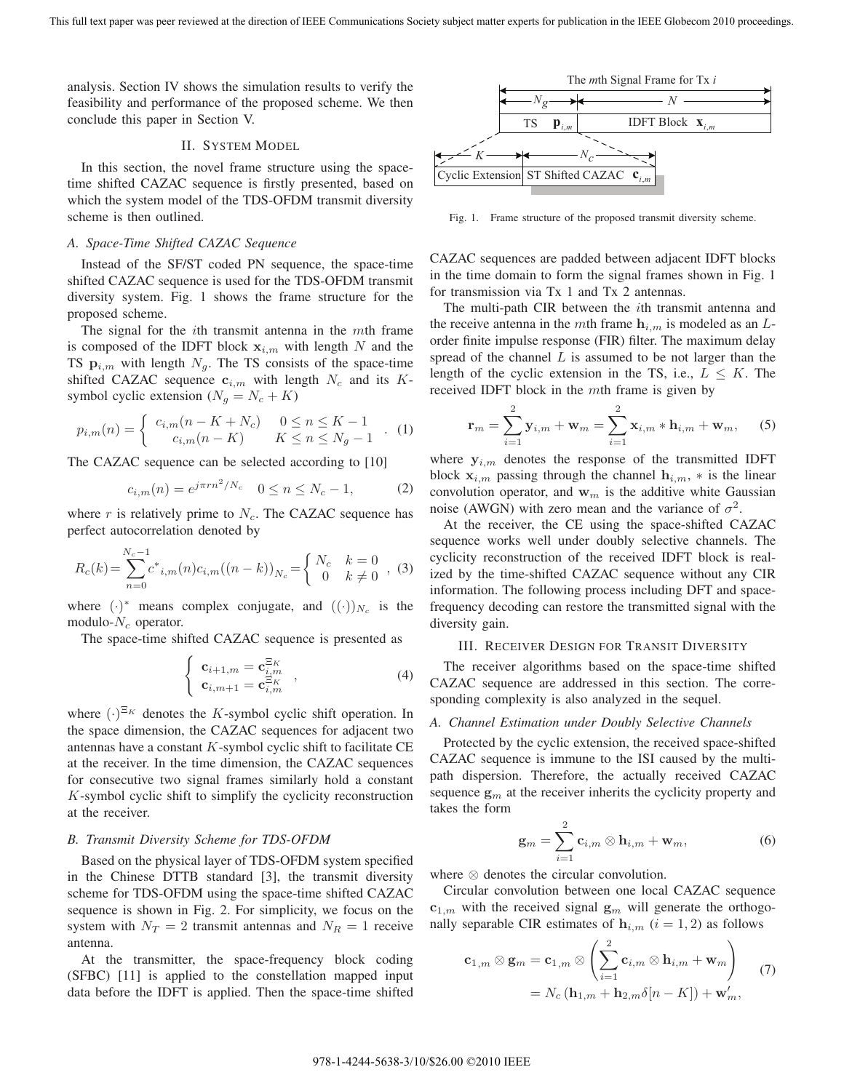analysis. Section IV shows the simulation results to verify the feasibility and performance of the proposed scheme. We then conclude this paper in Section V.

## II. SYSTEM MODEL

In this section, the novel frame structure using the spacetime shifted CAZAC sequence is firstly presented, based on which the system model of the TDS-OFDM transmit diversity scheme is then outlined.

## *A. Space-Time Shifted CAZAC Sequence*

Instead of the SF/ST coded PN sequence, the space-time shifted CAZAC sequence is used for the TDS-OFDM transmit diversity system. Fig. 1 shows the frame structure for the proposed scheme.

The signal for the *i*th transmit antenna in the *mth* frame is composed of the IDFT block  $x_{i,m}$  with length N and the TS  $\mathbf{p}_{i,m}$  with length  $N_q$ . The TS consists of the space-time shifted CAZAC sequence  $c_{i,m}$  with length  $N_c$  and its Ksymbol cyclic extension  $(N_g = N_c + K)$ 

$$
p_{i,m}(n) = \begin{cases} c_{i,m}(n - K + N_c) & 0 \le n \le K - 1 \\ c_{i,m}(n - K) & K \le n \le N_g - 1 \end{cases} . (1)
$$

The CAZAC sequence can be selected according to [10]

$$
c_{i,m}(n) = e^{j\pi r n^2/N_c} \quad 0 \le n \le N_c - 1,\tag{2}
$$

where r is relatively prime to  $N_c$ . The CAZAC sequence has perfect autocorrelation denoted by

$$
R_c(k) = \sum_{n=0}^{N_c - 1} c^*_{i,m}(n) c_{i,m}((n-k))_{N_c} = \begin{cases} N_c & k = 0\\ 0 & k \neq 0 \end{cases}
$$
, (3)

where  $(\cdot)^*$  means complex conjugate, and  $((\cdot))_{N_c}$  is the modulo- $N_c$  operator.

The space-time shifted CAZAC sequence is presented as

$$
\begin{cases}\n\mathbf{c}_{i+1,m} = \mathbf{c}_{i,m}^{\Xi_K} \\
\mathbf{c}_{i,m+1} = \mathbf{c}_{i,m}^{\Xi_K}\n\end{cases}
$$
\n(4)

where  $(\cdot)^{\Xi_K}$  denotes the K-symbol cyclic shift operation. In the space dimension, the CAZAC sequences for adjacent two antennas have a constant  $K$ -symbol cyclic shift to facilitate CE at the receiver. In the time dimension, the CAZAC sequences for consecutive two signal frames similarly hold a constant K-symbol cyclic shift to simplify the cyclicity reconstruction at the receiver.

## *B. Transmit Diversity Scheme for TDS-OFDM*

Based on the physical layer of TDS-OFDM system specified in the Chinese DTTB standard [3], the transmit diversity scheme for TDS-OFDM using the space-time shifted CAZAC sequence is shown in Fig. 2. For simplicity, we focus on the system with  $N_T = 2$  transmit antennas and  $N_R = 1$  receive antenna.

At the transmitter, the space-frequency block coding (SFBC) [11] is applied to the constellation mapped input data before the IDFT is applied. Then the space-time shifted



Fig. 1. Frame structure of the proposed transmit diversity scheme.

CAZAC sequences are padded between adjacent IDFT blocks in the time domain to form the signal frames shown in Fig. 1 for transmission via Tx 1 and Tx 2 antennas.

The multi-path CIR between the ith transmit antenna and the receive antenna in the mth frame  $h_{i,m}$  is modeled as an  $L$ order finite impulse response (FIR) filter. The maximum delay spread of the channel  $L$  is assumed to be not larger than the length of the cyclic extension in the TS, i.e.,  $L \leq K$ . The received IDFT block in the mth frame is given by

$$
\mathbf{r}_{m} = \sum_{i=1}^{2} \mathbf{y}_{i,m} + \mathbf{w}_{m} = \sum_{i=1}^{2} \mathbf{x}_{i,m} * \mathbf{h}_{i,m} + \mathbf{w}_{m}, \quad (5)
$$

where  $y_{i,m}$  denotes the response of the transmitted IDFT block  $\mathbf{x}_{i,m}$  passing through the channel  $\mathbf{h}_{i,m}$ ,  $*$  is the linear convolution operator, and  $w_m$  is the additive white Gaussian noise (AWGN) with zero mean and the variance of  $\sigma^2$ .

At the receiver, the CE using the space-shifted CAZAC sequence works well under doubly selective channels. The cyclicity reconstruction of the received IDFT block is realized by the time-shifted CAZAC sequence without any CIR information. The following process including DFT and spacefrequency decoding can restore the transmitted signal with the diversity gain.

#### III. RECEIVER DESIGN FOR TRANSIT DIVERSITY

The receiver algorithms based on the space-time shifted CAZAC sequence are addressed in this section. The corresponding complexity is also analyzed in the sequel.

## *A. Channel Estimation under Doubly Selective Channels*

Protected by the cyclic extension, the received space-shifted CAZAC sequence is immune to the ISI caused by the multipath dispersion. Therefore, the actually received CAZAC sequence  $g_m$  at the receiver inherits the cyclicity property and takes the form

$$
\mathbf{g}_m = \sum_{i=1}^2 \mathbf{c}_{i,m} \otimes \mathbf{h}_{i,m} + \mathbf{w}_m,
$$
 (6)

where ⊗ denotes the circular convolution.

Circular convolution between one local CAZAC sequence  $c_{1,m}$  with the received signal  $g_m$  will generate the orthogonally separable CIR estimates of  $h_{i,m}$  ( $i = 1, 2$ ) as follows

$$
\mathbf{c}_{1,m} \otimes \mathbf{g}_m = \mathbf{c}_{1,m} \otimes \left( \sum_{i=1}^2 \mathbf{c}_{i,m} \otimes \mathbf{h}_{i,m} + \mathbf{w}_m \right) \qquad (7)
$$

$$
= N_c \left( \mathbf{h}_{1,m} + \mathbf{h}_{2,m} \delta[n-K] \right) + \mathbf{w}'_m,
$$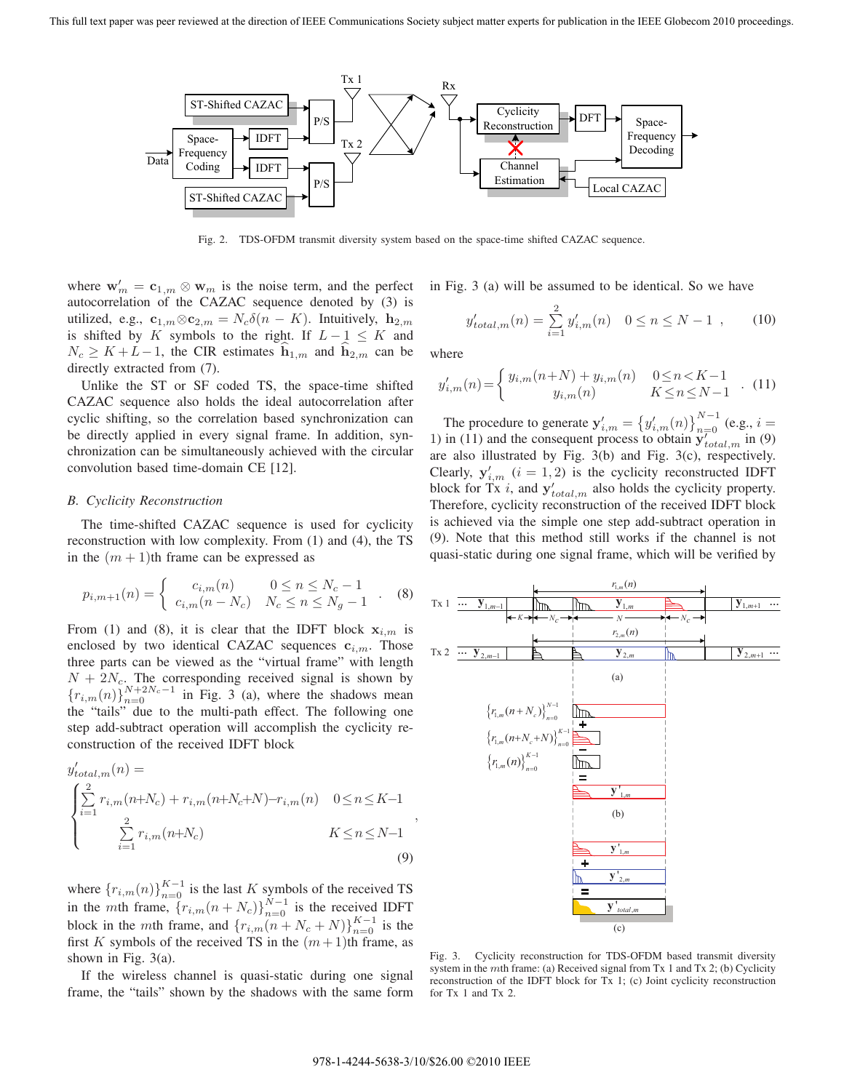

Fig. 2. TDS-OFDM transmit diversity system based on the space-time shifted CAZAC sequence.

where  $\mathbf{w}'_m = \mathbf{c}_{1,m} \otimes \mathbf{w}_m$  is the noise term, and the perfect<br>autocorrelation of the CAZAC sequence denoted by (3) is autocorrelation of the CAZAC sequence denoted by (3) is utilized, e.g.,  $\mathbf{c}_{1,m} \otimes \mathbf{c}_{2,m} = N_c \delta(n - K)$ . Intuitively,  $\mathbf{h}_{2,m}$ is shifted by K symbols to the right. If  $L - 1 \leq K$  and  $N_c \geq K + L - 1$ , the CIR estimates  $h_{1,m}$  and  $h_{2,m}$  can be directly extracted from (7).

Unlike the ST or SF coded TS, the space-time shifted CAZAC sequence also holds the ideal autocorrelation after cyclic shifting, so the correlation based synchronization can be directly applied in every signal frame. In addition, synchronization can be simultaneously achieved with the circular convolution based time-domain CE [12].

## *B. Cyclicity Reconstruction*

The time-shifted CAZAC sequence is used for cyclicity reconstruction with low complexity. From (1) and (4), the TS in the  $(m + 1)$ th frame can be expressed as

$$
p_{i,m+1}(n) = \begin{cases} c_{i,m}(n) & 0 \le n \le N_c - 1 \\ c_{i,m}(n - N_c) & N_c \le n \le N_g - 1 \end{cases} . (8)
$$

From (1) and (8), it is clear that the IDFT block  $x_{i,m}$  is enclosed by two identical CAZAC sequences  $c_{i,m}$ . Those three parts can be viewed as the "virtual frame" with length  $N + 2N_c$ . The corresponding received signal is shown by<br> $\int_{\mathbb{R}} (x)(N+2N_c-1) dx$  in  $\overline{E}(x, 2, 0)$ , where the chadows mean  ${r_{i,m}(n)}_{n=0}^{N+2N_c-1}$  in Fig. 3 (a), where the shadows mean the "tails" due to the multi-path effect. The following one step add-subtract operation will accomplish the cyclicity reconstruction of the received IDFT block

$$
y'_{total,m}(n) =
$$
  
\n
$$
\begin{cases}\n\sum_{i=1}^{2} r_{i,m}(n+N_c) + r_{i,m}(n+N_c+N) - r_{i,m}(n) & 0 \le n \le K-1 \\
\sum_{i=1}^{2} r_{i,m}(n+N_c) & K \le n \le N-1\n\end{cases}
$$
\n(9)

where  ${r_{i,m}(n)}_{n=0}^{K-1}$  is the last K symbols of the received TS<br>in the mth frame  ${r_{i,m}(n+N)}_{N-1}^{N-1}$  is the received IDET in the *mth* frame,  $\{r_{i,m}(n+N_c)\}_{n=0}^{N-1}$  is the received IDFT<br>block in the mth frame, and  $\{r_{i,m}(n+N_c), N(N_c+N_c)\}_{K=1}^{K-1}$  is the block in the *m*th frame, and  $\{r_{i,m}(n+N_c+N)\}_{n=0}^{K-1}$  is the first K symbols of the received TS in the  $(m+1)$ th frame, as first K symbols of the received TS in the  $(m+1)$ th frame, as shown in Fig. 3(a).

If the wireless channel is quasi-static during one signal frame, the "tails" shown by the shadows with the same form in Fig. 3 (a) will be assumed to be identical. So we have

$$
y'_{total,m}(n) = \sum_{i=1}^{2} y'_{i,m}(n) \quad 0 \le n \le N - 1 \quad , \tag{10}
$$

where

$$
y'_{i,m}(n) = \begin{cases} y_{i,m}(n+N) + y_{i,m}(n) & 0 \le n < K-1 \\ y_{i,m}(n) & K \le n \le N-1 \end{cases} . (11)
$$

The procedure to generate  $\mathbf{y}'_{i,m} = \left\{ y'_{i,m}(n) \right\}_{n=0}^{N-1}$  (e.g.,  $i =$ in (11) and the consequent process to obtain  $\mathbf{y}'_{i,j}$ , in (9) 1) in (11) and the consequent process to obtain  $\mathbf{y}'_{total,m}$  in (9)<br>are also illustrated by Fig. 3(b) and Fig. 3(c) respectively are also illustrated by Fig. 3(b) and Fig. 3(c), respectively. Clearly,  $y'_{i,m}$   $(i = 1, 2)$  is the cyclicity reconstructed IDFT<br>block for  $Tx$  *i*, and  $x'$  also holds the cyclicity property block for Tx *i*, and  $y'_{total,m}$  also holds the cyclicity property.<br>Therefore, cyclicity reconstruction of the received IDET block Therefore, cyclicity reconstruction of the received IDFT block is achieved via the simple one step add-subtract operation in (9). Note that this method still works if the channel is not quasi-static during one signal frame, which will be verified by



Fig. 3. Cyclicity reconstruction for TDS-OFDM based transmit diversity system in the *m*th frame: (a) Received signal from Tx 1 and Tx 2; (b) Cyclicity reconstruction of the IDFT block for Tx 1; (c) Joint cyclicity reconstruction for Tx 1 and Tx 2.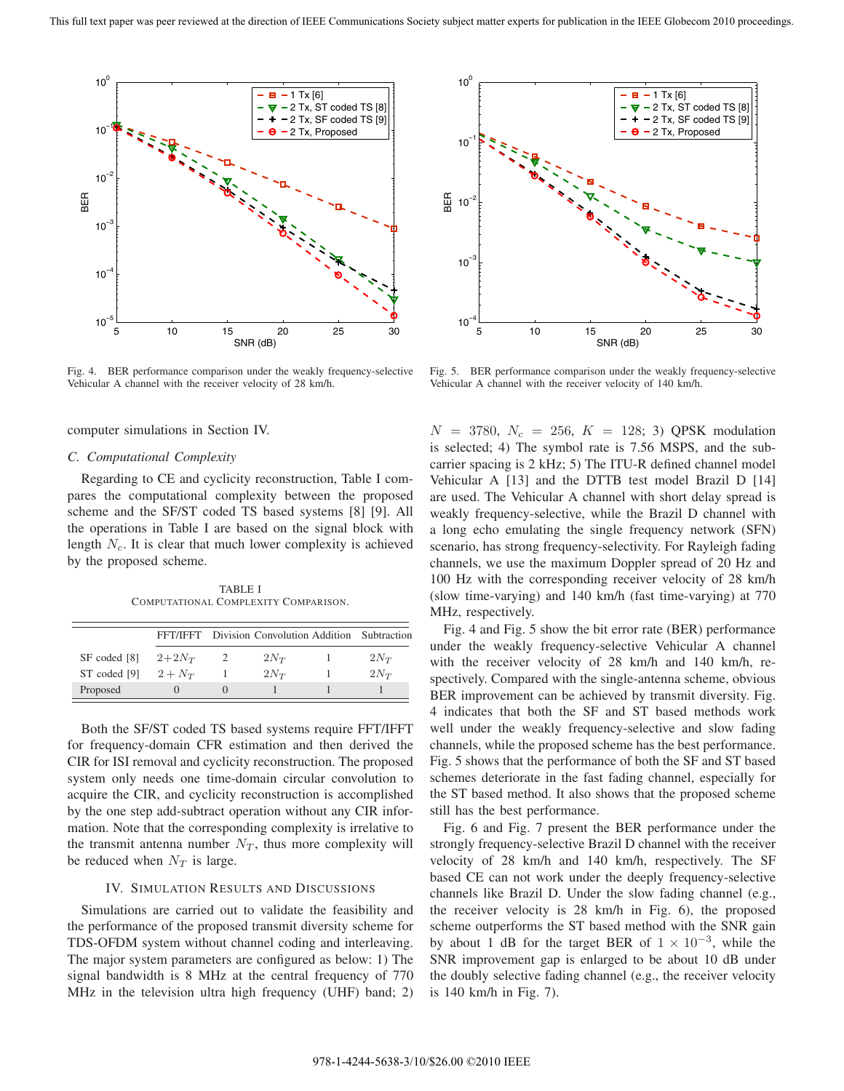

Fig. 4. BER performance comparison under the weakly frequency-selective Vehicular A channel with the receiver velocity of 28 km/h.

computer simulations in Section IV.

## *C. Computational Complexity*

Regarding to CE and cyclicity reconstruction, Table I compares the computational complexity between the proposed scheme and the SF/ST coded TS based systems [8] [9]. All the operations in Table I are based on the signal block with length  $N_c$ . It is clear that much lower complexity is achieved by the proposed scheme.

TABLE I COMPUTATIONAL COMPLEXITY COMPARISON.

|              |            | FFT/IFFT Division Convolution Addition Subtraction |          |
|--------------|------------|----------------------------------------------------|----------|
| SF coded [8] | $2 + 2N_T$ | $2N_{T}$                                           | $2N_T$   |
| ST coded [9] | $2 + N_T$  | $2N_{T}$                                           | $2N_{T}$ |
| Proposed     |            |                                                    |          |

Both the SF/ST coded TS based systems require FFT/IFFT for frequency-domain CFR estimation and then derived the CIR for ISI removal and cyclicity reconstruction. The proposed system only needs one time-domain circular convolution to acquire the CIR, and cyclicity reconstruction is accomplished by the one step add-subtract operation without any CIR information. Note that the corresponding complexity is irrelative to the transmit antenna number  $N_T$ , thus more complexity will be reduced when  $N_T$  is large.

## IV. SIMULATION RESULTS AND DISCUSSIONS

Simulations are carried out to validate the feasibility and the performance of the proposed transmit diversity scheme for TDS-OFDM system without channel coding and interleaving. The major system parameters are configured as below: 1) The signal bandwidth is 8 MHz at the central frequency of 770 MHz in the television ultra high frequency (UHF) band; 2)



Fig. 5. BER performance comparison under the weakly frequency-selective Vehicular A channel with the receiver velocity of 140 km/h.

 $N = 3780, N_c = 256, K = 128; 3)$  QPSK modulation is selected; 4) The symbol rate is 7.56 MSPS, and the subcarrier spacing is 2 kHz; 5) The ITU-R defined channel model Vehicular A [13] and the DTTB test model Brazil D [14] are used. The Vehicular A channel with short delay spread is weakly frequency-selective, while the Brazil D channel with a long echo emulating the single frequency network (SFN) scenario, has strong frequency-selectivity. For Rayleigh fading channels, we use the maximum Doppler spread of 20 Hz and 100 Hz with the corresponding receiver velocity of 28 km/h (slow time-varying) and 140 km/h (fast time-varying) at 770 MHz, respectively.

Fig. 4 and Fig. 5 show the bit error rate (BER) performance under the weakly frequency-selective Vehicular A channel with the receiver velocity of 28 km/h and 140 km/h, respectively. Compared with the single-antenna scheme, obvious BER improvement can be achieved by transmit diversity. Fig. 4 indicates that both the SF and ST based methods work well under the weakly frequency-selective and slow fading channels, while the proposed scheme has the best performance. Fig. 5 shows that the performance of both the SF and ST based schemes deteriorate in the fast fading channel, especially for the ST based method. It also shows that the proposed scheme still has the best performance.

Fig. 6 and Fig. 7 present the BER performance under the strongly frequency-selective Brazil D channel with the receiver velocity of 28 km/h and 140 km/h, respectively. The SF based CE can not work under the deeply frequency-selective channels like Brazil D. Under the slow fading channel (e.g., the receiver velocity is 28 km/h in Fig. 6), the proposed scheme outperforms the ST based method with the SNR gain by about 1 dB for the target BER of  $1 \times 10^{-3}$ , while the SNR improvement gap is enlarged to be about 10 dB under the doubly selective fading channel (e.g., the receiver velocity is 140 km/h in Fig. 7).